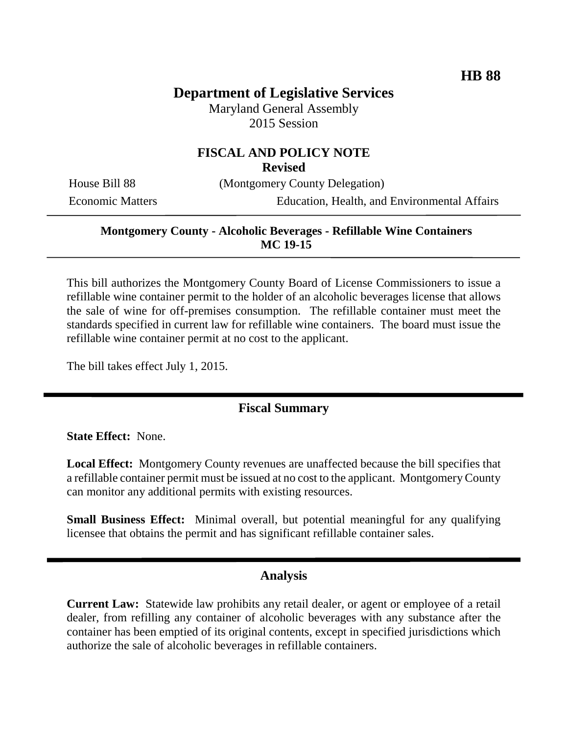# **Department of Legislative Services**

Maryland General Assembly 2015 Session

# **FISCAL AND POLICY NOTE**

**Revised**

House Bill 88 (Montgomery County Delegation)

Economic Matters Education, Health, and Environmental Affairs

### **Montgomery County - Alcoholic Beverages - Refillable Wine Containers MC 19-15**

This bill authorizes the Montgomery County Board of License Commissioners to issue a refillable wine container permit to the holder of an alcoholic beverages license that allows the sale of wine for off-premises consumption. The refillable container must meet the standards specified in current law for refillable wine containers. The board must issue the refillable wine container permit at no cost to the applicant.

The bill takes effect July 1, 2015.

## **Fiscal Summary**

**State Effect:** None.

**Local Effect:** Montgomery County revenues are unaffected because the bill specifies that a refillable container permit must be issued at no cost to the applicant. Montgomery County can monitor any additional permits with existing resources.

**Small Business Effect:** Minimal overall, but potential meaningful for any qualifying licensee that obtains the permit and has significant refillable container sales.

### **Analysis**

**Current Law:** Statewide law prohibits any retail dealer, or agent or employee of a retail dealer, from refilling any container of alcoholic beverages with any substance after the container has been emptied of its original contents, except in specified jurisdictions which authorize the sale of alcoholic beverages in refillable containers.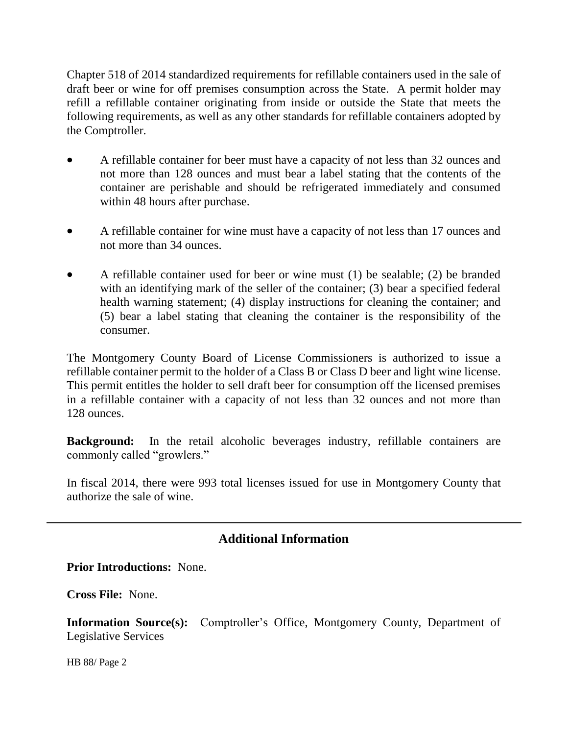Chapter 518 of 2014 standardized requirements for refillable containers used in the sale of draft beer or wine for off premises consumption across the State. A permit holder may refill a refillable container originating from inside or outside the State that meets the following requirements, as well as any other standards for refillable containers adopted by the Comptroller.

- A refillable container for beer must have a capacity of not less than 32 ounces and not more than 128 ounces and must bear a label stating that the contents of the container are perishable and should be refrigerated immediately and consumed within 48 hours after purchase.
- A refillable container for wine must have a capacity of not less than 17 ounces and not more than 34 ounces.
- A refillable container used for beer or wine must (1) be sealable; (2) be branded with an identifying mark of the seller of the container; (3) bear a specified federal health warning statement; (4) display instructions for cleaning the container; and (5) bear a label stating that cleaning the container is the responsibility of the consumer.

The Montgomery County Board of License Commissioners is authorized to issue a refillable container permit to the holder of a Class B or Class D beer and light wine license. This permit entitles the holder to sell draft beer for consumption off the licensed premises in a refillable container with a capacity of not less than 32 ounces and not more than 128 ounces.

**Background:** In the retail alcoholic beverages industry, refillable containers are commonly called "growlers."

In fiscal 2014, there were 993 total licenses issued for use in Montgomery County that authorize the sale of wine.

## **Additional Information**

**Prior Introductions:** None.

**Cross File:** None.

**Information Source(s):** Comptroller's Office, Montgomery County, Department of Legislative Services

HB 88/ Page 2